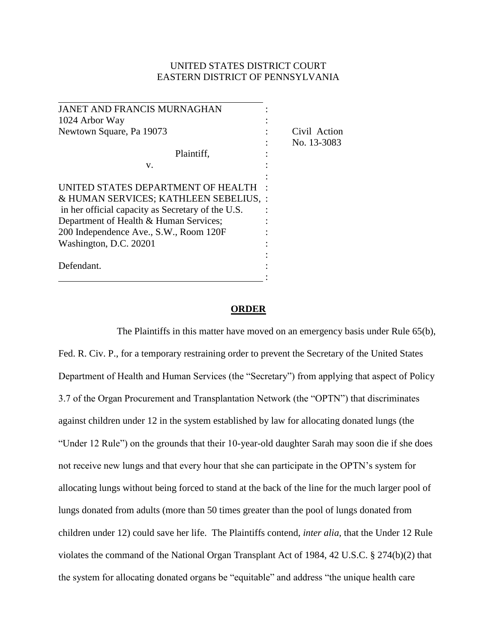## UNITED STATES DISTRICT COURT EASTERN DISTRICT OF PENNSYLVANIA

| <b>JANET AND FRANCIS MURNAGHAN</b>                |              |
|---------------------------------------------------|--------------|
| 1024 Arbor Way                                    |              |
| Newtown Square, Pa 19073                          | Civil Action |
|                                                   | No. 13-3083  |
| Plaintiff,                                        |              |
| v.                                                |              |
|                                                   |              |
| UNITED STATES DEPARTMENT OF HEALTH                |              |
| & HUMAN SERVICES; KATHLEEN SEBELIUS, :            |              |
| in her official capacity as Secretary of the U.S. |              |
| Department of Health & Human Services;            |              |
| 200 Independence Ave., S.W., Room 120F            |              |
| Washington, D.C. 20201                            |              |
|                                                   |              |
| Defendant.                                        |              |
|                                                   |              |

## **ORDER**

The Plaintiffs in this matter have moved on an emergency basis under Rule 65(b), Fed. R. Civ. P., for a temporary restraining order to prevent the Secretary of the United States Department of Health and Human Services (the "Secretary") from applying that aspect of Policy 3.7 of the Organ Procurement and Transplantation Network (the "OPTN") that discriminates against children under 12 in the system established by law for allocating donated lungs (the "Under 12 Rule") on the grounds that their 10-year-old daughter Sarah may soon die if she does not receive new lungs and that every hour that she can participate in the OPTN's system for allocating lungs without being forced to stand at the back of the line for the much larger pool of lungs donated from adults (more than 50 times greater than the pool of lungs donated from children under 12) could save her life. The Plaintiffs contend, *inter alia*, that the Under 12 Rule violates the command of the National Organ Transplant Act of 1984, 42 U.S.C. § 274(b)(2) that the system for allocating donated organs be "equitable" and address "the unique health care